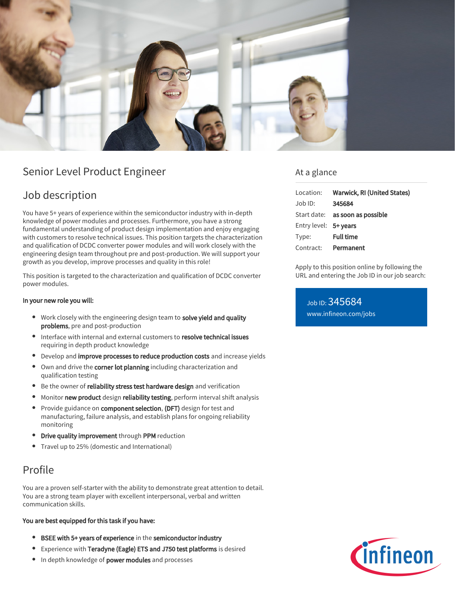

# Senior Level Product Engineer

# Job description

You have 5+ years of experience within the semiconductor industry with in-depth knowledge of power modules and processes. Furthermore, you have a strong fundamental understanding of product design implementation and enjoy engaging with customers to resolve technical issues. This position targets the characterization and qualification of DCDC converter power modules and will work closely with the engineering design team throughout pre and post-production. We will support your growth as you develop, improve processes and quality in this role!

This position is targeted to the characterization and qualification of DCDC converter power modules.

### In your new role you will:

- Work closely with the engineering design team to solve yield and quality problems, pre and post-production
- Interface with internal and external customers to resolve technical issues requiring in depth product knowledge
- Develop and improve processes to reduce production costs and increase yields
- Own and drive the corner lot planning including characterization and qualification testing
- **Be the owner of reliability stress test hardware design** and verification
- Monitor new product design reliability testing, perform interval shift analysis
- $\bullet$ Provide guidance on component selection, (DFT) design for test and manufacturing, failure analysis, and establish plans for ongoing reliability monitoring
- Drive quality improvement through PPM reduction
- Travel up to 25% (domestic and International)

# Profile

You are a proven self-starter with the ability to demonstrate great attention to detail. You are a strong team player with excellent interpersonal, verbal and written communication skills.

### You are best equipped for this task if you have:

- BSEE with 5+ years of experience in the semiconductor industry
- Experience with Teradyne (Eagle) ETS and J750 test platforms is desired
- In depth knowledge of power modules and processes

### At a glance

|                       | Location: Warwick, RI (United States) |
|-----------------------|---------------------------------------|
| Job ID:               | 345684                                |
|                       | Start date: as soon as possible       |
| Entry level: 5+ years |                                       |
| Type:                 | <b>Full time</b>                      |
| Contract:             | Permanent                             |

Apply to this position online by following the URL and entering the Job ID in our job search:

Job ID: 345684 [www.infineon.com/jobs](https://www.infineon.com/jobs)

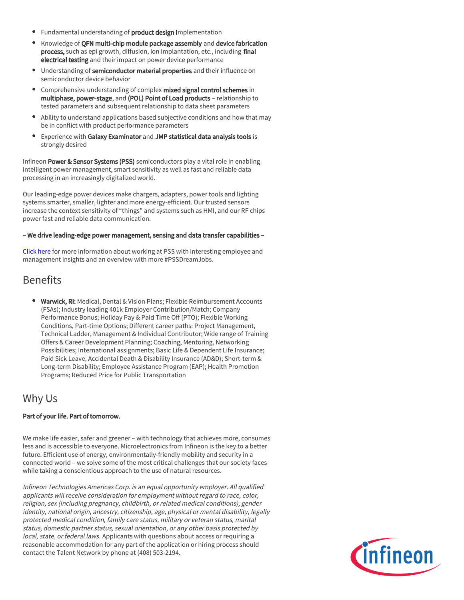- Fundamental understanding of **product design i**mplementation
- Knowledge of QFN multi-chip module package assembly and device fabrication process, such as epi growth, diffusion, ion implantation, etc., including final electrical testing and their impact on power device performance
- Understanding of semiconductor material properties and their influence on semiconductor device behavior
- Comprehensive understanding of complex mixed signal control schemes in multiphase, power-stage, and (POL) Point of Load products – relationship to tested parameters and subsequent relationship to data sheet parameters
- Ability to understand applications based subjective conditions and how that may be in conflict with product performance parameters
- Experience with Galaxy Examinator and JMP statistical data analysis tools is strongly desired

Infineon Power & Sensor Systems (PSS) semiconductors play a vital role in enabling intelligent power management, smart sensitivity as well as fast and reliable data processing in an increasingly digitalized world.

Our leading-edge power devices make chargers, adapters, power tools and lighting systems smarter, smaller, lighter and more energy-efficient. Our trusted sensors increase the context sensitivity of "things" and systems such as HMI, and our RF chips power fast and reliable data communication.

#### – We drive leading-edge power management, sensing and data transfer capabilities –

[Click here](https://www.infineon.com/cms/en/careers/working-at-infineon/PSSDreamJob/) for more information about working at PSS with interesting employee and management insights and an overview with more #PSSDreamJobs.

# Benefits

**Warwick, RI:** Medical, Dental & Vision Plans; Flexible Reimbursement Accounts (FSAs); Industry leading 401k Employer Contribution/Match; Company Performance Bonus; Holiday Pay & Paid Time Off (PTO); Flexible Working Conditions, Part-time Options; Different career paths: Project Management, Technical Ladder, Management & Individual Contributor; Wide range of Training Offers & Career Development Planning; Coaching, Mentoring, Networking Possibilities; International assignments; Basic Life & Dependent Life Insurance; Paid Sick Leave, Accidental Death & Disability Insurance (AD&D); Short-term & Long-term Disability; Employee Assistance Program (EAP); Health Promotion Programs; Reduced Price for Public Transportation

### Why Us

### Part of your life. Part of tomorrow.

We make life easier, safer and greener – with technology that achieves more, consumes less and is accessible to everyone. Microelectronics from Infineon is the key to a better future. Efficient use of energy, environmentally-friendly mobility and security in a connected world – we solve some of the most critical challenges that our society faces while taking a conscientious approach to the use of natural resources.

Infineon Technologies Americas Corp. is an equal opportunity employer. All qualified applicants will receive consideration for employment without regard to race, color, religion, sex (including pregnancy, childbirth, or related medical conditions), gender identity, national origin, ancestry, citizenship, age, physical or mental disability, legally protected medical condition, family care status, military or veteran status, marital status, domestic partner status, sexual orientation, or any other basis protected by local, state, or federal laws. Applicants with questions about access or requiring a reasonable accommodation for any part of the application or hiring process should contact the Talent Network by phone at (408) 503-2194.